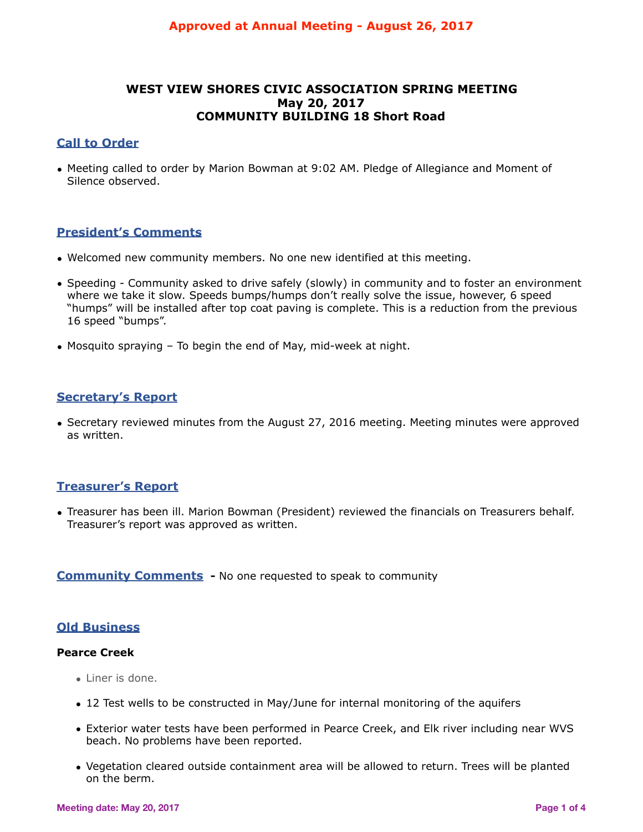# **WEST VIEW SHORES CIVIC ASSOCIATION SPRING MEETING May 20, 2017 COMMUNITY BUILDING 18 Short Road**

# **Call to Order**

• Meeting called to order by Marion Bowman at 9:02 AM. Pledge of Allegiance and Moment of Silence observed.

# **President's Comments**

- Welcomed new community members. No one new identified at this meeting.
- Speeding Community asked to drive safely (slowly) in community and to foster an environment where we take it slow. Speeds bumps/humps don't really solve the issue, however, 6 speed "humps" will be installed after top coat paving is complete. This is a reduction from the previous 16 speed "bumps".
- Mosquito spraying To begin the end of May, mid-week at night.

# **Secretary's Report**

• Secretary reviewed minutes from the August 27, 2016 meeting. Meeting minutes were approved as written.

# **Treasurer's Report**

• Treasurer has been ill. Marion Bowman (President) reviewed the financials on Treasurers behalf. Treasurer's report was approved as written.

# **Community Comments** - No one requested to speak to community

# **Old Business**

# **Pearce Creek**

- Liner is done.
- 12 Test wells to be constructed in May/June for internal monitoring of the aquifers
- Exterior water tests have been performed in Pearce Creek, and Elk river including near WVS beach. No problems have been reported.
- Vegetation cleared outside containment area will be allowed to return. Trees will be planted on the berm.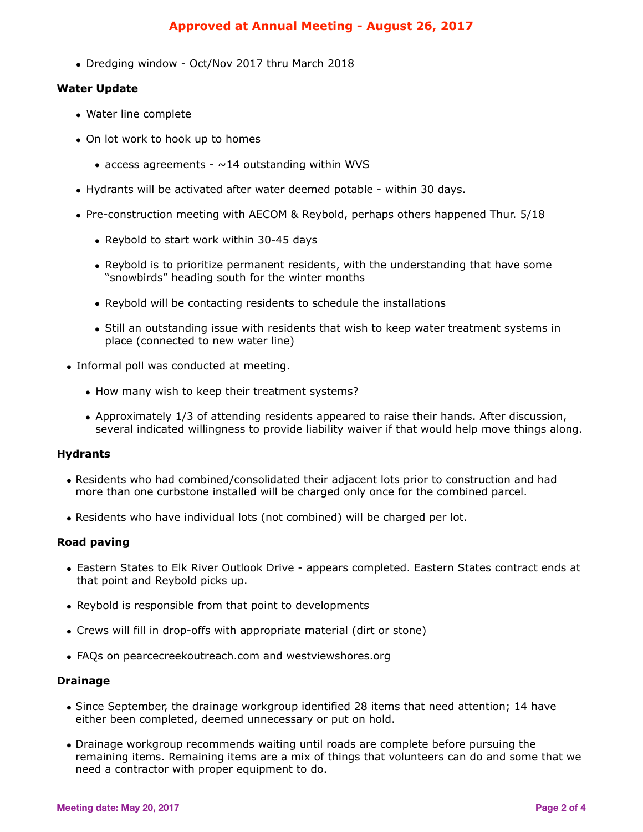# **Approved at Annual Meeting - August 26, 2017**

• Dredging window - Oct/Nov 2017 thru March 2018

### **Water Update**

- Water line complete
- On lot work to hook up to homes
	- access agreements  $\sim$  14 outstanding within WVS
- Hydrants will be activated after water deemed potable within 30 days.
- Pre-construction meeting with AECOM & Reybold, perhaps others happened Thur. 5/18
	- Reybold to start work within 30-45 days
	- Reybold is to prioritize permanent residents, with the understanding that have some "snowbirds" heading south for the winter months
	- Reybold will be contacting residents to schedule the installations
	- Still an outstanding issue with residents that wish to keep water treatment systems in place (connected to new water line)
- Informal poll was conducted at meeting.
	- How many wish to keep their treatment systems?
	- Approximately 1/3 of attending residents appeared to raise their hands. After discussion, several indicated willingness to provide liability waiver if that would help move things along.

## **Hydrants**

- Residents who had combined/consolidated their adjacent lots prior to construction and had more than one curbstone installed will be charged only once for the combined parcel.
- Residents who have individual lots (not combined) will be charged per lot.

## **Road paving**

- Eastern States to Elk River Outlook Drive appears completed. Eastern States contract ends at that point and Reybold picks up.
- Reybold is responsible from that point to developments
- Crews will fill in drop-offs with appropriate material (dirt or stone)
- FAQs on pearcecreekoutreach.com and westviewshores.org

#### **Drainage**

- Since September, the drainage workgroup identified 28 items that need attention; 14 have either been completed, deemed unnecessary or put on hold.
- Drainage workgroup recommends waiting until roads are complete before pursuing the remaining items. Remaining items are a mix of things that volunteers can do and some that we need a contractor with proper equipment to do.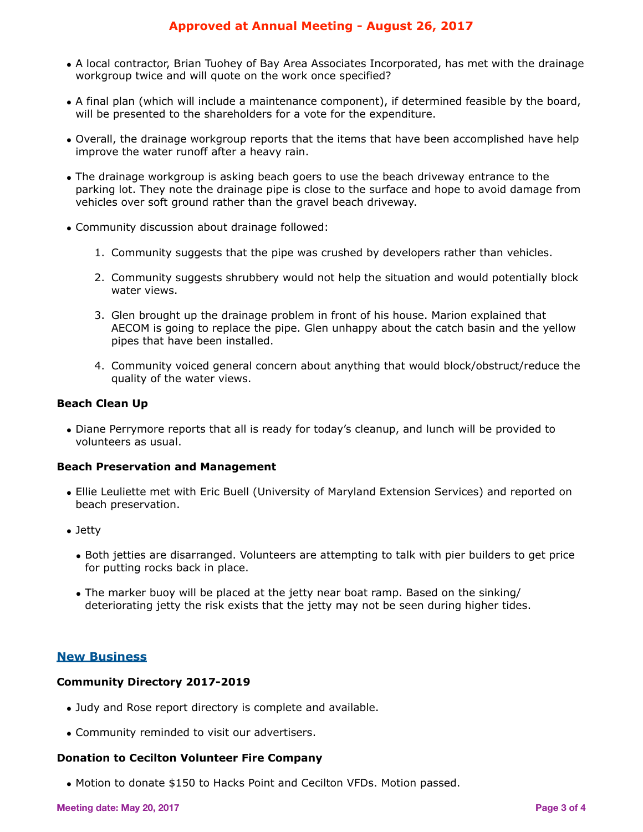# **Approved at Annual Meeting - August 26, 2017**

- A local contractor, Brian Tuohey of Bay Area Associates Incorporated, has met with the drainage workgroup twice and will quote on the work once specified?
- A final plan (which will include a maintenance component), if determined feasible by the board, will be presented to the shareholders for a vote for the expenditure.
- Overall, the drainage workgroup reports that the items that have been accomplished have help improve the water runoff after a heavy rain.
- The drainage workgroup is asking beach goers to use the beach driveway entrance to the parking lot. They note the drainage pipe is close to the surface and hope to avoid damage from vehicles over soft ground rather than the gravel beach driveway.
- Community discussion about drainage followed:
	- 1. Community suggests that the pipe was crushed by developers rather than vehicles.
	- 2. Community suggests shrubbery would not help the situation and would potentially block water views.
	- 3. Glen brought up the drainage problem in front of his house. Marion explained that AECOM is going to replace the pipe. Glen unhappy about the catch basin and the yellow pipes that have been installed.
	- 4. Community voiced general concern about anything that would block/obstruct/reduce the quality of the water views.

### **Beach Clean Up**

• Diane Perrymore reports that all is ready for today's cleanup, and lunch will be provided to volunteers as usual.

#### **Beach Preservation and Management**

- Ellie Leuliette met with Eric Buell (University of Maryland Extension Services) and reported on beach preservation.
- Jetty
	- Both jetties are disarranged. Volunteers are attempting to talk with pier builders to get price for putting rocks back in place.
	- The marker buoy will be placed at the jetty near boat ramp. Based on the sinking/ deteriorating jetty the risk exists that the jetty may not be seen during higher tides.

## **New Business**

## **Community Directory 2017-2019**

- Judy and Rose report directory is complete and available.
- Community reminded to visit our advertisers.

## **Donation to Cecilton Volunteer Fire Company**

• Motion to donate \$150 to Hacks Point and Cecilton VFDs. Motion passed.